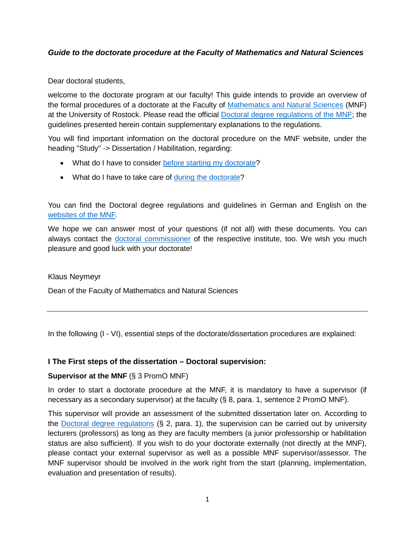# *Guide to the doctorate procedure at the Faculty of Mathematics and Natural Sciences*

Dear doctoral students,

welcome to the doctorate program at our faculty! This guide intends to provide an overview of the formal procedures of a doctorate at the Faculty of [Mathematics and Natural Sciences](https://www.mathnat.uni-rostock.de/) (MNF) at the University of Rostock. Please read the official [Doctoral degree regulations of the MNF;](https://www.mathnat.uni-rostock.de/fileadmin/uni-rostock/Alle_MNF/MNF/Ordnungen_Formulare/PromO_E.pdf) the guidelines presented herein contain supplementary explanations to the regulations.

You will find important information on the doctoral procedure on the MNF website, under the heading "Study" -> Dissertation / Habilitation, regarding:

- What do I have to consider [before starting my doctorate?](https://www.mathnat.uni-rostock.de/studium/promotion-habilitation/vor-beginn-der-promotion/)
- What do I have to take care of [during the doctorate?](https://www.mathnat.uni-rostock.de/studium/promotion-habilitation/promotion/)

You can find the Doctoral degree regulations and guidelines in German and English on the [websites of the MNF.](https://www.mathnat.uni-rostock.de/studium/promotion-habilitation/promotion/)

We hope we can answer most of your questions (if not all) with these documents. You can always contact the [doctoral commissioner](https://www.mathnat.uni-rostock.de/studium/promotion-habilitation/ansprechpartner/) of the respective institute, too. We wish you much pleasure and good luck with your doctorate!

Klaus Neymeyr

Dean of the Faculty of Mathematics and Natural Sciences

In the following (I - VI), essential steps of the doctorate/dissertation procedures are explained:

### **I The First steps of the dissertation – Doctoral supervision:**

#### **Supervisor at the MNF** (§ 3 PromO MNF)

In order to start a doctorate procedure at the MNF, it is mandatory to have a supervisor (if necessary as a secondary supervisor) at the faculty (§ 8, para. 1, sentence 2 PromO MNF).

This supervisor will provide an assessment of the submitted dissertation later on. According to the [Doctoral degree regulations](https://www.mathnat.uni-rostock.de/fileadmin/uni-rostock/Alle_MNF/MNF/Ordnungen_Formulare/PromO_E.pdf) (§ 2, para. 1), the supervision can be carried out by university lecturers (professors) as long as they are faculty members (a junior professorship or habilitation status are also sufficient). If you wish to do your doctorate externally (not directly at the MNF), please contact your external supervisor as well as a possible MNF supervisor/assessor. The MNF supervisor should be involved in the work right from the start (planning, implementation, evaluation and presentation of results).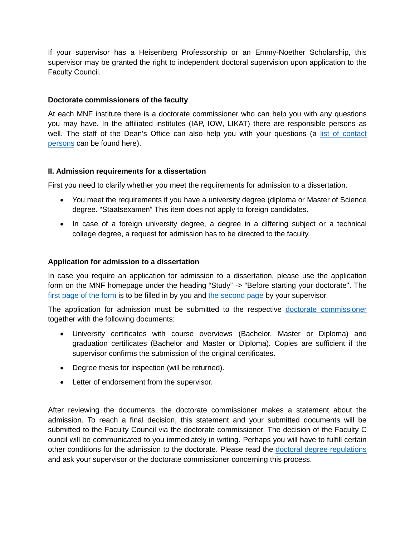If your supervisor has a Heisenberg Professorship or an Emmy-Noether Scholarship, this supervisor may be granted the right to independent doctoral supervision upon application to the Faculty Council.

### **Doctorate commissioners of the faculty**

At each MNF institute there is a doctorate commissioner who can help you with any questions you may have. In the affiliated institutes (IAP, IOW, LIKAT) there are responsible persons as well. The staff of the Dean's Office can also help you with your questions (a [list of contact](https://www.mathnat.uni-rostock.de/studium/promotion-habilitation/ansprechpartner/)  [persons](https://www.mathnat.uni-rostock.de/studium/promotion-habilitation/ansprechpartner/) can be found here).

#### **II. Admission requirements for a dissertation**

First you need to clarify whether you meet the requirements for admission to a dissertation.

- You meet the requirements if you have a university degree (diploma or Master of Science degree. "Staatsexamen" This item does not apply to foreign candidates.
- In case of a foreign university degree, a degree in a differing subject or a technical college degree, a request for admission has to be directed to the faculty.

#### **Application for admission to a dissertation**

In case you require an application for admission to a dissertation, please use the application form on the MNF homepage under the heading "Study" -> "Before starting your doctorate". The [first page of the form](https://www.mathnat.uni-rostock.de/fileadmin/uni-rostock/Alle_MNF/MNF/Studium_Promotion/Formular_Zulassung.pdf) is to be filled in by you and [the second page](https://www.mathnat.uni-rostock.de/fileadmin/uni-rostock/Alle_MNF/MNF/Studium_Promotion/Formular_Zulassung_S2.pdf) by your supervisor.

The application for admission must be submitted to the respective [doctorate commissioner](https://www.mathnat.uni-rostock.de/studium/promotion-habilitation/ansprechpartner/) together with the following documents:

- University certificates with course overviews (Bachelor, Master or Diploma) and graduation certificates (Bachelor and Master or Diploma). Copies are sufficient if the supervisor confirms the submission of the original certificates.
- Degree thesis for inspection (will be returned).
- Letter of endorsement from the supervisor.

After reviewing the documents, the doctorate commissioner makes a statement about the admission. To reach a final decision, this statement and your submitted documents will be submitted to the Faculty Council via the doctorate commissioner. The decision of the Faculty C ouncil will be communicated to you immediately in writing. Perhaps you will have to fulfill certain other conditions for the admission to the doctorate. Please read the [doctoral degree regulations](https://www.mathnat.uni-rostock.de/fileadmin/uni-rostock/Alle_MNF/MNF/Ordnungen_Formulare/PromO_E.pdf) and ask your supervisor or the doctorate commissioner concerning this process.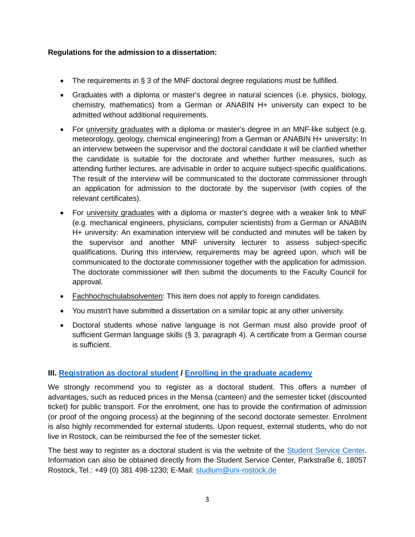## **Regulations for the admission to a dissertation:**

- The requirements in § 3 of the MNF doctoral degree regulations must be fulfilled.
- Graduates with a diploma or master's degree in natural sciences (i.e. physics, biology, chemistry, mathematics) from a German or ANABIN H+ university can expect to be admitted without additional requirements.
- For university graduates with a diploma or master's degree in an MNF-like subject (e.g. meteorology, geology, chemical engineering) from a German or ANABIN H+ university: In an interview between the supervisor and the doctoral candidate it will be clarified whether the candidate is suitable for the doctorate and whether further measures, such as attending further lectures, are advisable in order to acquire subject-specific qualifications. The result of the interview will be communicated to the doctorate commissioner through an application for admission to the doctorate by the supervisor (with copies of the relevant certificates).
- For university graduates with a diploma or master's degree with a weaker link to MNF (e.g. mechanical engineers, physicians, computer scientists) from a German or ANABIN H+ university: An examination interview will be conducted and minutes will be taken by the supervisor and another MNF university lecturer to assess subject-specific qualifications. During this interview, requirements may be agreed upon, which will be communicated to the doctorate commissioner together with the application for admission. The doctorate commissioner will then submit the documents to the Faculty Council for approval.
- Fachhochschulabsolventen: This item does not apply to foreign candidates.
- You mustn't have submitted a dissertation on a similar topic at any other university.
- Doctoral students whose native language is not German must also provide proof of sufficient German language skills (§ 3, paragraph 4). A certificate from a German course is sufficient.

# **III. [Registration as doctoral student](https://www.uni-rostock.de/en/study/german-prospective-students/promotion/) / [Enrolling in the graduate](https://www.uni-rostock.de/forschung/nachwuchsfoerderung/graduiertenakademie/) academy**

We strongly recommend you to register as a doctoral student. This offers a number of advantages, such as reduced prices in the Mensa (canteen) and the semester ticket (discounted ticket) for public transport. For the enrolment, one has to provide the confirmation of admission (or proof of the ongoing process) at the beginning of the second doctorate semester. Enrolment is also highly recommended for external students. Upon request, external students, who do not live in Rostock, can be reimbursed the fee of the semester ticket.

The best way to register as a doctoral student is via the website of the [Student Service Center.](https://www.uni-rostock.de/studium/lebensraum-hochschule/student-service-center-ssc/) Information can also be obtained directly from the Student Service Center, Parkstraße 6, 18057 Rostock, Tel.: +49 (0) 381 498-1230; E-Mail: [studium@uni-rostock.de](mailto:studium@uni-rostock.de)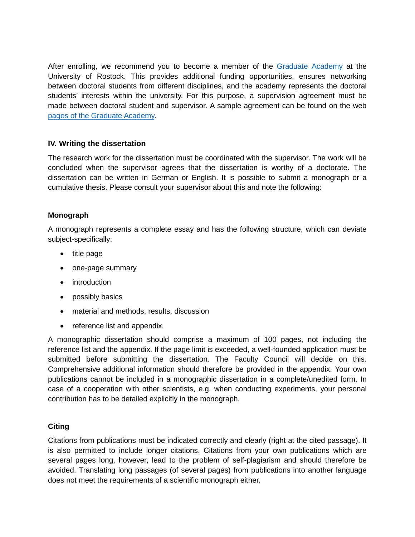After enrolling, we recommend you to become a member of the [Graduate Academy](https://www.uni-rostock.de/forschung/nachwuchsfoerderung/graduiertenakademie/) at the University of Rostock. This provides additional funding opportunities, ensures networking between doctoral students from different disciplines, and the academy represents the doctoral students' interests within the university. For this purpose, a supervision agreement must be made between doctoral student and supervisor. A sample agreement can be found on the web [pages of the Graduate Academy.](https://www.uni-rostock.de/forschung/nachwuchsfoerderung/graduiertenakademie/mitgliedschaft/)

## **IV. Writing the dissertation**

The research work for the dissertation must be coordinated with the supervisor. The work will be concluded when the supervisor agrees that the dissertation is worthy of a doctorate. The dissertation can be written in German or English. It is possible to submit a monograph or a cumulative thesis. Please consult your supervisor about this and note the following:

### **Monograph**

A monograph represents a complete essay and has the following structure, which can deviate subject-specifically:

- title page
- one-page summary
- introduction
- possibly basics
- material and methods, results, discussion
- reference list and appendix.

A monographic dissertation should comprise a maximum of 100 pages, not including the reference list and the appendix. If the page limit is exceeded, a well-founded application must be submitted before submitting the dissertation. The Faculty Council will decide on this. Comprehensive additional information should therefore be provided in the appendix. Your own publications cannot be included in a monographic dissertation in a complete/unedited form. In case of a cooperation with other scientists, e.g. when conducting experiments, your personal contribution has to be detailed explicitly in the monograph.

### **Citing**

Citations from publications must be indicated correctly and clearly (right at the cited passage). It is also permitted to include longer citations. Citations from your own publications which are several pages long, however, lead to the problem of self-plagiarism and should therefore be avoided. Translating long passages (of several pages) from publications into another language does not meet the requirements of a scientific monograph either.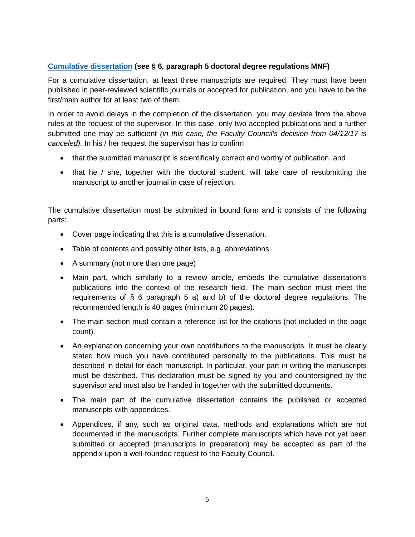## **[Cumulative dissertation](https://www.mathnat.uni-rostock.de/fileadmin/uni-rostock/Alle_MNF/MNF/Studium_Promotion/IVerfahrensR_kum-Dissertation_e.pdf) (see § 6, paragraph 5 doctoral degree regulations MNF)**

For a cumulative dissertation, at least three manuscripts are required. They must have been published in peer-reviewed scientific journals or accepted for publication, and you have to be the first/main author for at least two of them.

In order to avoid delays in the completion of the dissertation, you may deviate from the above rules at the request of the supervisor. In this case, only two accepted publications and a further submitted one may be sufficient *(in this case, the Faculty Council's decision from 04/12/17 is canceled).* In his / her request the supervisor has to confirm

- that the submitted manuscript is scientifically correct and worthy of publication, and
- that he / she, together with the doctoral student, will take care of resubmitting the manuscript to another journal in case of rejection.

The cumulative dissertation must be submitted in bound form and it consists of the following parts:

- Cover page indicating that this is a cumulative dissertation.
- Table of contents and possibly other lists, e.g. abbreviations.
- A summary (not more than one page)
- Main part, which similarly to a review article, embeds the cumulative dissertation's publications into the context of the research field. The main section must meet the requirements of § 6 paragraph 5 a) and b) of the doctoral degree regulations. The recommended length is 40 pages (minimum 20 pages).
- The main section must contain a reference list for the citations (not included in the page count).
- An explanation concerning your own contributions to the manuscripts. It must be clearly stated how much you have contributed personally to the publications. This must be described in detail for each manuscript. In particular, your part in writing the manuscripts must be described. This declaration must be signed by you and countersigned by the supervisor and must also be handed in together with the submitted documents.
- The main part of the cumulative dissertation contains the published or accepted manuscripts with appendices.
- Appendices, if any, such as original data, methods and explanations which are not documented in the manuscripts. Further complete manuscripts which have not yet been submitted or accepted (manuscripts in preparation) may be accepted as part of the appendix upon a well-founded request to the Faculty Council.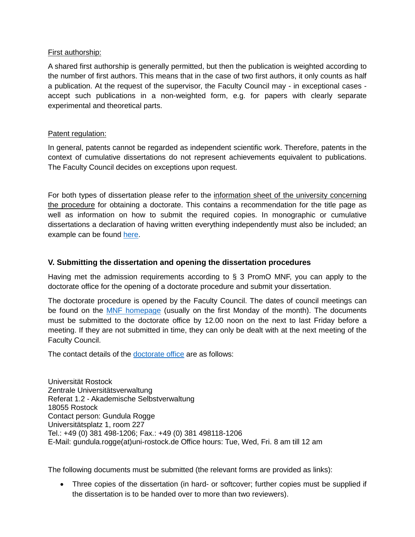### First authorship:

A shared first authorship is generally permitted, but then the publication is weighted according to the number of first authors. This means that in the case of two first authors, it only counts as half a publication. At the request of the supervisor, the Faculty Council may - in exceptional cases accept such publications in a non-weighted form, e.g. for papers with clearly separate experimental and theoretical parts.

### Patent regulation:

In general, patents cannot be regarded as independent scientific work. Therefore, patents in the context of cumulative dissertations do not represent achievements equivalent to publications. The Faculty Council decides on exceptions upon request.

For both types of dissertation please refer to the information sheet of the university concerning the procedure for obtaining a doctorate. This contains a recommendation for the title page as well as information on how to submit the required copies. In monographic or cumulative dissertations a declaration of having written everything independently must also be included; an example can be found [here.](https://www.uni-rostock.de/fileadmin/uni-rostock/UniHome/Gremien/Promotionen_und_Habilitationen/Promotion/erklaerung-mnf.pdf)

## **V. Submitting the dissertation and opening the dissertation procedures**

Having met the admission requirements according to  $\S$  3 PromO MNF, you can apply to the doctorate office for the opening of a doctorate procedure and submit your dissertation.

The doctorate procedure is opened by the Faculty Council. The dates of council meetings can be found on the [MNF homepage](https://www.mathnat.uni-rostock.de/fakultaet-alumni/fakultaetsrat/sitzungstermine/) (usually on the first Monday of the month). The documents must be submitted to the doctorate office by 12.00 noon on the next to last Friday before a meeting. If they are not submitted in time, they can only be dealt with at the next meeting of the Faculty Council.

The contact details of the [doctorate office](https://www.uni-rostock.de/forschung/nachwuchsfoerderung/promotion/verfahrensweg-zur-promotion/) are as follows:

Universität Rostock Zentrale Universitätsverwaltung Referat 1.2 - Akademische Selbstverwaltung 18055 Rostock Contact person: Gundula Rogge Universitätsplatz 1, room 227 Tel.: +49 (0) 381 498-1206; Fax.: +49 (0) 381 498118-1206 E-Mail: gundula.rogge(at)uni-rostock.de Office hours: Tue, Wed, Fri. 8 am till 12 am

The following documents must be submitted (the relevant forms are provided as links):

• Three copies of the dissertation (in hard- or softcover; further copies must be supplied if the dissertation is to be handed over to more than two reviewers).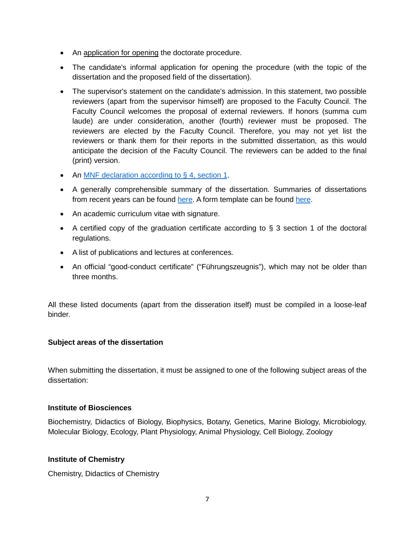- An application for opening the doctorate procedure.
- The candidate's informal application for opening the procedure (with the topic of the dissertation and the proposed field of the dissertation).
- The supervisor's statement on the candidate's admission. In this statement, two possible reviewers (apart from the supervisor himself) are proposed to the Faculty Council. The Faculty Council welcomes the proposal of external reviewers. If honors (summa cum laude) are under consideration, another (fourth) reviewer must be proposed. The reviewers are elected by the Faculty Council. Therefore, you may not yet list the reviewers or thank them for their reports in the submitted dissertation, as this would anticipate the decision of the Faculty Council. The reviewers can be added to the final (print) version.
- An [MNF declaration according to § 4, section 1.](https://www.uni-rostock.de/fileadmin/uni-rostock/UniHome/Gremien/Promotionen_und_Habilitationen/Promotion/erklaerung-mnf.pdf)
- A generally comprehensible summary of the dissertation. Summaries of dissertations from recent years can be found [here.](http://web.physik.uni-rostock.de/test/anleitung.html) A form template can be found here.
- An academic curriculum vitae with signature.
- A certified copy of the graduation certificate according to § 3 section 1 of the doctoral regulations.
- A list of publications and lectures at conferences.
- An official "good-conduct certificate" ("Führungszeugnis"), which may not be older than three months.

All these listed documents (apart from the disseration itself) must be compiled in a loose-leaf binder.

### **Subject areas of the dissertation**

When submitting the dissertation, it must be assigned to one of the following subject areas of the dissertation:

### **Institute of Biosciences**

Biochemistry, Didactics of Biology, Biophysics, Botany, Genetics, Marine Biology, Microbiology, Molecular Biology, Ecology, Plant Physiology, Animal Physiology, Cell Biology, Zoology

### **Institute of Chemistry**

Chemistry, Didactics of Chemistry